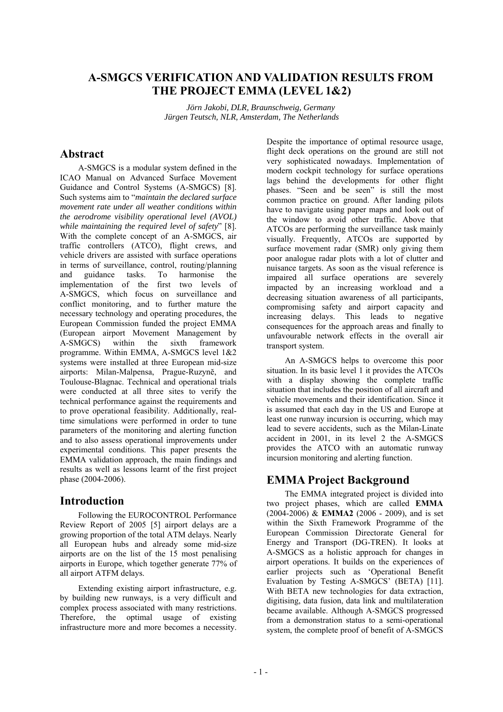## **A-SMGCS VERIFICATION AND VALIDATION RESULTS FROM THE PROJECT EMMA (LEVEL 1&2)**

*Jörn Jakobi, DLR, Braunschweig, Germany Jürgen Teutsch, NLR, Amsterdam, The Netherlands* 

## **Abstract**

A-SMGCS is a modular system defined in the ICAO Manual on Advanced Surface Movement Guidance and Control Systems (A-SMGCS) [8]. Such systems aim to "*maintain the declared surface movement rate under all weather conditions within the aerodrome visibility operational level (AVOL) while maintaining the required level of safety*" [8]. With the complete concept of an A-SMGCS, air traffic controllers (ATCO), flight crews, and vehicle drivers are assisted with surface operations in terms of surveillance, control, routing/planning and guidance tasks. To harmonise the implementation of the first two levels of A-SMGCS, which focus on surveillance and conflict monitoring, and to further mature the necessary technology and operating procedures, the European Commission funded the project EMMA (European airport Movement Management by<br>A-SMGCS) within the sixth framework A-SMGCS) within the sixth framework programme. Within EMMA, A-SMGCS level 1&2 systems were installed at three European mid-size airports: Milan-Malpensa, Prague-Ruzynĕ, and Toulouse-Blagnac. Technical and operational trials were conducted at all three sites to verify the technical performance against the requirements and to prove operational feasibility. Additionally, realtime simulations were performed in order to tune parameters of the monitoring and alerting function and to also assess operational improvements under experimental conditions. This paper presents the EMMA validation approach, the main findings and results as well as lessons learnt of the first project phase (2004-2006).

## **Introduction**

Following the EUROCONTROL Performance Review Report of 2005 [5] airport delays are a growing proportion of the total ATM delays. Nearly all European hubs and already some mid-size airports are on the list of the 15 most penalising airports in Europe, which together generate 77% of all airport ATFM delays.

Extending existing airport infrastructure, e.g. by building new runways, is a very difficult and complex process associated with many restrictions. Therefore, the optimal usage of existing infrastructure more and more becomes a necessity.

Despite the importance of optimal resource usage, flight deck operations on the ground are still not very sophisticated nowadays. Implementation of modern cockpit technology for surface operations lags behind the developments for other flight phases. "Seen and be seen" is still the most common practice on ground. After landing pilots have to navigate using paper maps and look out of the window to avoid other traffic. Above that ATCOs are performing the surveillance task mainly visually. Frequently, ATCOs are supported by surface movement radar (SMR) only giving them poor analogue radar plots with a lot of clutter and nuisance targets. As soon as the visual reference is impaired all surface operations are severely impacted by an increasing workload and a decreasing situation awareness of all participants, compromising safety and airport capacity and increasing delays. This leads to negative consequences for the approach areas and finally to unfavourable network effects in the overall air transport system.

An A-SMGCS helps to overcome this poor situation. In its basic level 1 it provides the ATCOs with a display showing the complete traffic situation that includes the position of all aircraft and vehicle movements and their identification. Since it is assumed that each day in the US and Europe at least one runway incursion is occurring, which may lead to severe accidents, such as the Milan-Linate accident in 2001, in its level 2 the A-SMGCS provides the ATCO with an automatic runway incursion monitoring and alerting function.

## **EMMA Project Background**

The EMMA integrated project is divided into two project phases, which are called **EMMA** (2004-2006) & **EMMA2** (2006 - 2009), and is set within the Sixth Framework Programme of the European Commission Directorate General for Energy and Transport (DG-TREN). It looks at A-SMGCS as a holistic approach for changes in airport operations. It builds on the experiences of earlier projects such as 'Operational Benefit Evaluation by Testing A-SMGCS' (BETA) [11]. With BETA new technologies for data extraction. digitising, data fusion, data link and multilateration became available. Although A-SMGCS progressed from a demonstration status to a semi-operational system, the complete proof of benefit of A-SMGCS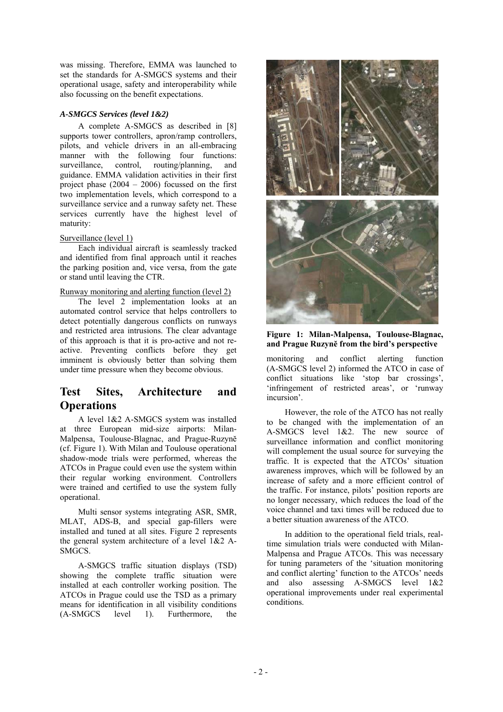was missing. Therefore, EMMA was launched to set the standards for A-SMGCS systems and their operational usage, safety and interoperability while also focussing on the benefit expectations.

### *A-SMGCS Services (level 1&2)*

A complete A-SMGCS as described in [8] supports tower controllers, apron/ramp controllers, pilots, and vehicle drivers in an all-embracing manner with the following four functions:<br>surveillance, control, routing/planning, and surveillance, control, routing/planning, and guidance. EMMA validation activities in their first project phase (2004 – 2006) focussed on the first two implementation levels, which correspond to a surveillance service and a runway safety net. These services currently have the highest level of maturity:

### Surveillance (level 1)

Each individual aircraft is seamlessly tracked and identified from final approach until it reaches the parking position and, vice versa, from the gate or stand until leaving the CTR.

### Runway monitoring and alerting function (level 2)

The level 2 implementation looks at an automated control service that helps controllers to detect potentially dangerous conflicts on runways and restricted area intrusions. The clear advantage of this approach is that it is pro-active and not reactive. Preventing conflicts before they get imminent is obviously better than solving them under time pressure when they become obvious.

# **Test Sites, Architecture and Operations**

A level 1&2 A-SMGCS system was installed at three European mid-size airports: Milan-Malpensa, Toulouse-Blagnac, and Prague-Ruzynĕ (cf. Figure 1). With Milan and Toulouse operational shadow-mode trials were performed, whereas the ATCOs in Prague could even use the system within their regular working environment. Controllers were trained and certified to use the system fully operational.

Multi sensor systems integrating ASR, SMR, MLAT, ADS-B, and special gap-fillers were installed and tuned at all sites. Figure 2 represents the general system architecture of a level 1&2 A-SMGCS.

A-SMGCS traffic situation displays (TSD) showing the complete traffic situation were installed at each controller working position. The ATCOs in Prague could use the TSD as a primary means for identification in all visibility conditions (A-SMGCS level 1). Furthermore, the



**Figure 1: Milan-Malpensa, Toulouse-Blagnac, and Prague Ruzynĕ from the bird's perspective** 

monitoring and conflict alerting function (A-SMGCS level 2) informed the ATCO in case of conflict situations like 'stop bar crossings', 'infringement of restricted areas', or 'runway incursion'.

However, the role of the ATCO has not really to be changed with the implementation of an A-SMGCS level 1&2. The new source of surveillance information and conflict monitoring will complement the usual source for surveying the traffic. It is expected that the ATCOs' situation awareness improves, which will be followed by an increase of safety and a more efficient control of the traffic. For instance, pilots' position reports are no longer necessary, which reduces the load of the voice channel and taxi times will be reduced due to a better situation awareness of the ATCO.

In addition to the operational field trials, realtime simulation trials were conducted with Milan-Malpensa and Prague ATCOs. This was necessary for tuning parameters of the 'situation monitoring and conflict alerting' function to the ATCOs' needs and also assessing A-SMGCS level 1&2 operational improvements under real experimental conditions.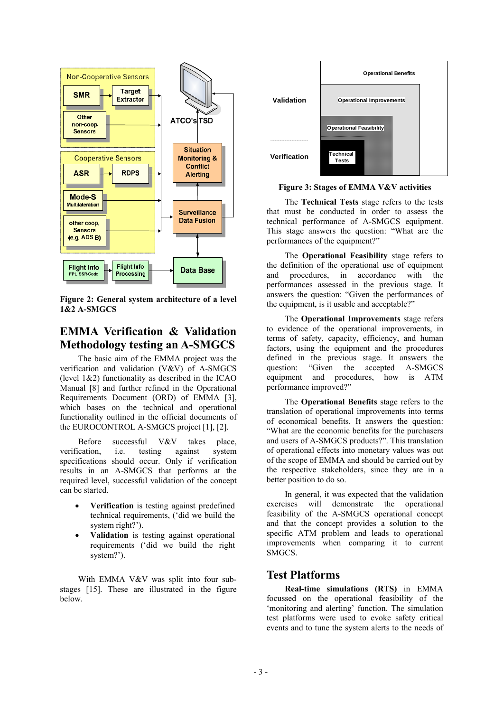

**Figure 2: General system architecture of a level 1&2 A-SMGCS** 

# **EMMA Verification & Validation Methodology testing an A-SMGCS**

The basic aim of the EMMA project was the verification and validation (V&V) of A-SMGCS (level 1&2) functionality as described in the ICAO Manual [8] and further refined in the Operational Requirements Document (ORD) of EMMA [3], which bases on the technical and operational functionality outlined in the official documents of the EUROCONTROL A-SMGCS project [1], [2].

Before successful V&V takes place, verification i.e. testing against system specifications should occur. Only if verification results in an A-SMGCS that performs at the required level, successful validation of the concept can be started.

- **Verification** is testing against predefined technical requirements, ('did we build the system right?').
- **Validation** is testing against operational requirements ('did we build the right system?').

With EMMA V&V was split into four substages [15]. These are illustrated in the figure below.



**Figure 3: Stages of EMMA V&V activities** 

The **Technical Tests** stage refers to the tests that must be conducted in order to assess the technical performance of A-SMGCS equipment. This stage answers the question: "What are the performances of the equipment?"

The **Operational Feasibility** stage refers to the definition of the operational use of equipment and procedures, in accordance with the performances assessed in the previous stage. It answers the question: "Given the performances of the equipment, is it usable and acceptable?"

The **Operational Improvements** stage refers to evidence of the operational improvements, in terms of safety, capacity, efficiency, and human factors, using the equipment and the procedures defined in the previous stage. It answers the question: "Given the accepted A-SMGCS equipment and procedures, how is ATM performance improved?"

The **Operational Benefits** stage refers to the translation of operational improvements into terms of economical benefits. It answers the question: "What are the economic benefits for the purchasers and users of A-SMGCS products?". This translation of operational effects into monetary values was out of the scope of EMMA and should be carried out by the respective stakeholders, since they are in a better position to do so.

In general, it was expected that the validation exercises will demonstrate the operational feasibility of the A-SMGCS operational concept and that the concept provides a solution to the specific ATM problem and leads to operational improvements when comparing it to current SMGCS.

# **Test Platforms**

**Real-time simulations (RTS)** in EMMA focussed on the operational feasibility of the 'monitoring and alerting' function. The simulation test platforms were used to evoke safety critical events and to tune the system alerts to the needs of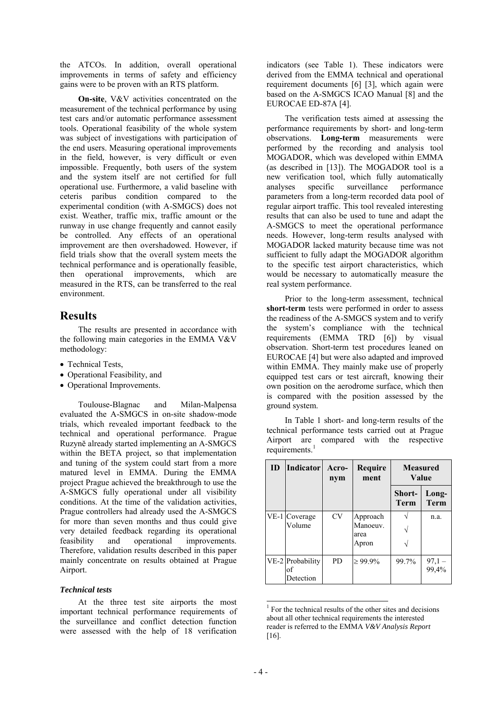the ATCOs. In addition, overall operational improvements in terms of safety and efficiency gains were to be proven with an RTS platform.

**On-site**, V&V activities concentrated on the measurement of the technical performance by using test cars and/or automatic performance assessment tools. Operational feasibility of the whole system was subject of investigations with participation of the end users. Measuring operational improvements in the field, however, is very difficult or even impossible. Frequently, both users of the system and the system itself are not certified for full operational use. Furthermore, a valid baseline with ceteris paribus condition compared to the experimental condition (with A-SMGCS) does not exist. Weather, traffic mix, traffic amount or the runway in use change frequently and cannot easily be controlled. Any effects of an operational improvement are then overshadowed. However, if field trials show that the overall system meets the technical performance and is operationally feasible, then operational improvements, which are measured in the RTS, can be transferred to the real environment.

## **Results**

The results are presented in accordance with the following main categories in the EMMA V&V methodology:

- Technical Tests,
- Operational Feasibility, and
- Operational Improvements.

Toulouse-Blagnac and Milan-Malpensa evaluated the A-SMGCS in on-site shadow-mode trials, which revealed important feedback to the technical and operational performance. Prague Ruzynĕ already started implementing an A-SMGCS within the BETA project, so that implementation and tuning of the system could start from a more matured level in EMMA. During the EMMA project Prague achieved the breakthrough to use the A-SMGCS fully operational under all visibility conditions. At the time of the validation activities, Prague controllers had already used the A-SMGCS for more than seven months and thus could give very detailed feedback regarding its operational feasibility and operational improvements. Therefore, validation results described in this paper mainly concentrate on results obtained at Prague Airport.

## *Technical tests*

At the three test site airports the most important technical performance requirements of the surveillance and conflict detection function were assessed with the help of 18 verification indicators (see Table 1). These indicators were derived from the EMMA technical and operational requirement documents [6] [3], which again were based on the A-SMGCS ICAO Manual [8] and the EUROCAE ED-87A [4].

The verification tests aimed at assessing the performance requirements by short- and long-term observations. **Long-term** measurements were performed by the recording and analysis tool MOGADOR, which was developed within EMMA (as described in [13]). The MOGADOR tool is a new verification tool, which fully automatically analyses specific surveillance performance parameters from a long-term recorded data pool of regular airport traffic. This tool revealed interesting results that can also be used to tune and adapt the A-SMGCS to meet the operational performance needs. However, long-term results analysed with MOGADOR lacked maturity because time was not sufficient to fully adapt the MOGADOR algorithm to the specific test airport characteristics, which would be necessary to automatically measure the real system performance.

Prior to the long-term assessment, technical **short-term** tests were performed in order to assess the readiness of the A-SMGCS system and to verify the system's compliance with the technical requirements (EMMA TRD [6]) by visual observation. Short-term test procedures leaned on EUROCAE [4] but were also adapted and improved within EMMA. They mainly make use of properly equipped test cars or test aircraft, knowing their own position on the aerodrome surface, which then is compared with the position assessed by the ground system.

In Table 1 short- and long-term results of the technical performance tests carried out at Prague Airport are compared with the respective requirements.<sup>1</sup>

| ID | Indicator                           | Acro-<br>nym | Require<br>ment                       | <b>Measured</b><br>Value |                      |
|----|-------------------------------------|--------------|---------------------------------------|--------------------------|----------------------|
|    |                                     |              |                                       | Short-<br>Term           | Long-<br><b>Term</b> |
|    | VE-1 Coverage<br>Volume             | <b>CV</b>    | Approach<br>Manoeuv.<br>area<br>Apron |                          | n.a.                 |
|    | VE-2 Probability<br>of<br>Detection | PD.          | $\geq 99.9\%$                         | 99.7%                    | $97,1 -$<br>99,4%    |

 $\overline{a}$  $<sup>1</sup>$  For the technical results of the other sites and decisions</sup> about all other technical requirements the interested reader is referred to the EMMA *V&V Analysis Report* [16].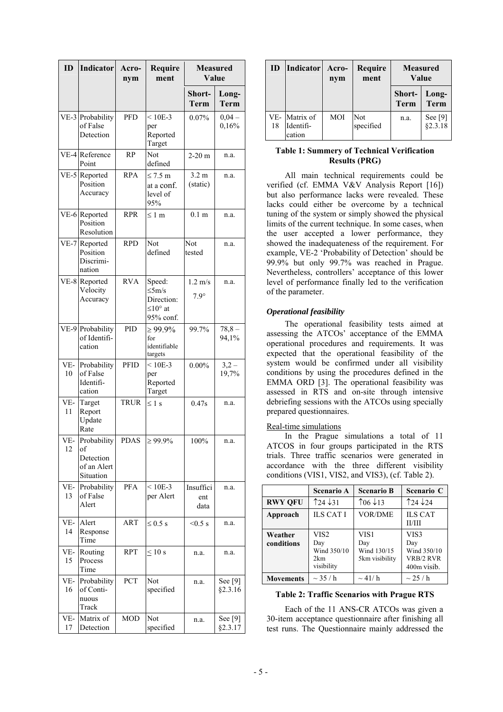| ID        | <b>Indicator</b>                                           | Acro-<br>nym | Require<br>ment                                                          | <b>Measured</b><br>Value         |                    |
|-----------|------------------------------------------------------------|--------------|--------------------------------------------------------------------------|----------------------------------|--------------------|
|           |                                                            |              |                                                                          | Short-<br>Term                   | Long-<br>Term      |
|           | VE-3 Probability<br>of False<br>Detection                  | <b>PFD</b>   | $< 10E - 3$<br>per<br>Reported<br>Target                                 | 0.07%                            | $0.04 -$<br>0,16%  |
|           | VE-4 Reference<br>Point                                    | <b>RP</b>    | Not<br>defined                                                           | $2-20$ m                         | n.a.               |
|           | VE-5 Reported<br>Position<br>Accuracy                      | <b>RPA</b>   | $\leq 7.5$ m<br>at a conf.<br>level of<br>95%                            | 3.2 <sub>m</sub><br>(static)     | n.a.               |
|           | VE-6 Reported<br>Position<br>Resolution                    | <b>RPR</b>   | ≤ 1 m                                                                    | $0.1 \text{ m}$                  | n.a.               |
|           | VE-7 Reported<br>Position<br>Discrimi-<br>nation           | <b>RPD</b>   | Not<br>defined                                                           | Not<br>tested                    | n.a.               |
|           | VE-8 Reported<br>Velocity<br>Accuracy                      | <b>RVA</b>   | Speed:<br>$\leq$ 5m/s<br>Direction:<br>$\leq 10^{\circ}$ at<br>95% conf. | $1.2 \text{ m/s}$<br>$7.9^\circ$ | n.a.               |
|           | VE-9 Probability<br>of Identifi-<br>cation                 | PID          | $\geq 99.9\%$<br>for<br>identifiable<br>targets                          | 99.7%                            | $78,8 -$<br>94,1%  |
| VE-<br>10 | Probability<br>of False<br>Identifi-<br>cation             | <b>PFID</b>  | $< 10E - 3$<br>per<br>Reported<br>Target                                 | $0.00\%$                         | $3,2-$<br>19,7%    |
| VE-<br>11 | Target<br>Report<br>Update<br>Rate                         | <b>TRUR</b>  | $\leq 1$ s                                                               | 0.47s                            | n.a.               |
| VE-<br>12 | Probability<br>of<br>Detection<br>of an Alert<br>Situation | <b>PDAS</b>  | $\geq 99.9\%$                                                            | 100%                             | n.a.               |
| VE-<br>13 | Probability<br>of False<br>Alert                           | PFA          | $< 10E - 3$<br>per Alert                                                 | Insuffici<br>ent<br>data         | n.a.               |
| VE-<br>14 | Alert<br>Response<br>Time                                  | ART          | $\leq 0.5$ s                                                             | $< 0.5$ s                        | n.a.               |
| VE-<br>15 | Routing<br>Process<br>Time                                 | <b>RPT</b>   | $\leq 10$ s                                                              | n.a.                             | n.a.               |
| VE-<br>16 | Probability<br>of Conti-<br>nuous<br>Track                 | PCT          | Not<br>specified                                                         | n.a.                             | See [9]<br>§2.3.16 |
| VE-<br>17 | Matrix of<br>Detection                                     | <b>MOD</b>   | Not<br>specified                                                         | n.a.                             | See [9]<br>§2.3.17 |

| ID | Indicator                            | Acro-<br>nym | Require<br>ment  | <b>Measured</b><br>Value |                    |
|----|--------------------------------------|--------------|------------------|--------------------------|--------------------|
|    |                                      |              |                  | Short-<br><b>Term</b>    | Long-<br>Term      |
| 18 | VE- Matrix of<br>Identifi-<br>cation | <b>MOI</b>   | Not<br>specified | n.a.                     | See [9]<br>§2.3.18 |

### **Table 1: Summery of Technical Verification Results (PRG)**

All main technical requirements could be verified (cf. EMMA V&V Analysis Report [16]) but also performance lacks were revealed. These lacks could either be overcome by a technical tuning of the system or simply showed the physical limits of the current technique. In some cases, when the user accepted a lower performance, they showed the inadequateness of the requirement. For example, VE-2 'Probability of Detection' should be 99.9% but only 99.7% was reached in Prague. Nevertheless, controllers' acceptance of this lower level of performance finally led to the verification of the parameter.

### *Operational feasibility*

The operational feasibility tests aimed at assessing the ATCOs' acceptance of the EMMA operational procedures and requirements. It was expected that the operational feasibility of the system would be confirmed under all visibility conditions by using the procedures defined in the EMMA ORD [3]. The operational feasibility was assessed in RTS and on-site through intensive debriefing sessions with the ATCOs using specially prepared questionnaires.

### Real-time simulations

In the Prague simulations a total of 11 ATCOS in four groups participated in the RTS trials. Three traffic scenarios were generated in accordance with the three different visibility conditions (VIS1, VIS2, and VIS3), (cf. Table 2).

|                       | <b>Scenario A</b>                                           | <b>Scenario B</b>                            | Scenario C                                             |
|-----------------------|-------------------------------------------------------------|----------------------------------------------|--------------------------------------------------------|
| <b>RWY QFU</b>        | $\uparrow$ 24 $\downarrow$ 31                               | $\uparrow$ 06 $\downarrow$ 13                | $\uparrow$ 24 $\downarrow$ 24                          |
| Approach              | <b>ILS CAT I</b>                                            | <b>VOR/DME</b>                               | <b>ILS CAT</b><br>II/III                               |
| Weather<br>conditions | VIS <sub>2</sub><br>Day<br>Wind 350/10<br>2km<br>visibility | VIS1<br>Day<br>Wind 130/15<br>5km visibility | VIS3<br>Day<br>Wind 350/10<br>VRB/2 RVR<br>400m visib. |
| <b>Movements</b>      | $\sim$ 35 / h                                               | $\sim$ 41/ h                                 | $\sim$ 25 / h                                          |

### **Table 2: Traffic Scenarios with Prague RTS**

Each of the 11 ANS-CR ATCOs was given a 30-item acceptance questionnaire after finishing all test runs. The Questionnaire mainly addressed the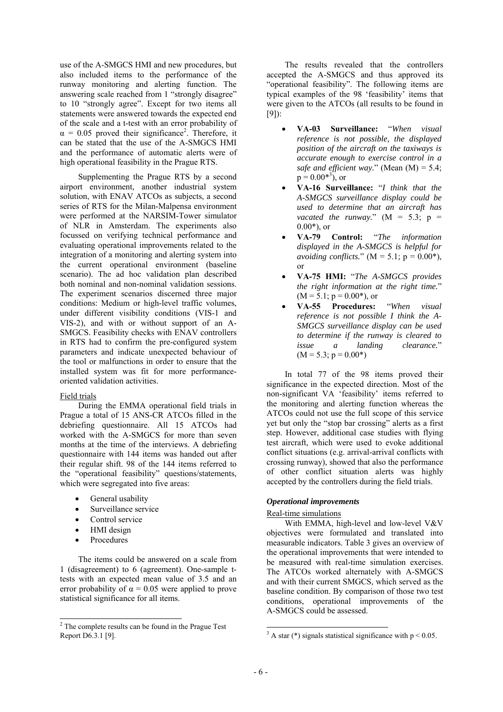use of the A-SMGCS HMI and new procedures, but also included items to the performance of the runway monitoring and alerting function. The answering scale reached from 1 "strongly disagree" to 10 "strongly agree". Except for two items all statements were answered towards the expected end of the scale and a t-test with an error probability of  $\alpha = 0.05$  proved their significance<sup>2</sup>. Therefore, it can be stated that the use of the A-SMGCS HMI and the performance of automatic alerts were of high operational feasibility in the Prague RTS.

Supplementing the Prague RTS by a second airport environment, another industrial system solution, with ENAV ATCOs as subjects, a second series of RTS for the Milan-Malpensa environment were performed at the NARSIM-Tower simulator of NLR in Amsterdam. The experiments also focussed on verifying technical performance and evaluating operational improvements related to the integration of a monitoring and alerting system into the current operational environment (baseline scenario). The ad hoc validation plan described both nominal and non-nominal validation sessions. The experiment scenarios discerned three major conditions: Medium or high-level traffic volumes, under different visibility conditions (VIS-1 and VIS-2), and with or without support of an A-SMGCS. Feasibility checks with ENAV controllers in RTS had to confirm the pre-configured system parameters and indicate unexpected behaviour of the tool or malfunctions in order to ensure that the installed system was fit for more performanceoriented validation activities.

### Field trials

During the EMMA operational field trials in Prague a total of 15 ANS-CR ATCOs filled in the debriefing questionnaire. All 15 ATCOs had worked with the A-SMGCS for more than seven months at the time of the interviews. A debriefing questionnaire with 144 items was handed out after their regular shift. 98 of the 144 items referred to the "operational feasibility" questions/statements, which were segregated into five areas:

- General usability
- Surveillance service
- Control service
- HMI design
- **Procedures**

The items could be answered on a scale from 1 (disagreement) to 6 (agreement). One-sample ttests with an expected mean value of 3.5 and an error probability of  $\alpha = 0.05$  were applied to prove statistical significance for all items.

The results revealed that the controllers accepted the A-SMGCS and thus approved its "operational feasibility". The following items are typical examples of the 98 'feasibility' items that were given to the ATCOs (all results to be found in [9]):

- **VA-03 Surveillance:** "*When visual reference is not possible, the displayed position of the aircraft on the taxiways is accurate enough to exercise control in a safe and efficient way.*" (Mean (M) = 5.4;  $p = 0.00^{*3}$ , or
- **VA-16 Surveillance:** "*I think that the A-SMGCS surveillance display could be used to determine that an aircraft has vacated the runway.*"  $(M = 5.3; p =$  $0.00^*$ ), or
- **VA-79 Control:** "*The information displayed in the A-SMGCS is helpful for avoiding conflicts.*"  $(M = 5.1; p = 0.00*),$ or
- **VA-75 HMI:** "*The A-SMGCS provides the right information at the right time.*"  $(M = 5.1; p = 0.00^*)$ , or
- **VA-55 Procedures:** "*When visual reference is not possible I think the A-SMGCS surveillance display can be used to determine if the runway is cleared to issue a landing clearance.*"  $(M = 5.3; p = 0.00*)$

In total 77 of the 98 items proved their significance in the expected direction. Most of the non-significant VA 'feasibility' items referred to the monitoring and alerting function whereas the ATCOs could not use the full scope of this service yet but only the "stop bar crossing" alerts as a first step. However, additional case studies with flying test aircraft, which were used to evoke additional conflict situations (e.g. arrival-arrival conflicts with crossing runway), showed that also the performance of other conflict situation alerts was highly accepted by the controllers during the field trials.

### *Operational improvements*

### Real-time simulations

With EMMA, high-level and low-level V&V objectives were formulated and translated into measurable indicators. Table 3 gives an overview of the operational improvements that were intended to be measured with real-time simulation exercises. The ATCOs worked alternately with A-SMGCS and with their current SMGCS, which served as the baseline condition. By comparison of those two test conditions, operational improvements of the A-SMGCS could be assessed.

 $\overline{a}$ 

 2 The complete results can be found in the Prague Test Report D6.3.1 [9].

<sup>&</sup>lt;sup>3</sup> A star (\*) signals statistical significance with  $p < 0.05$ .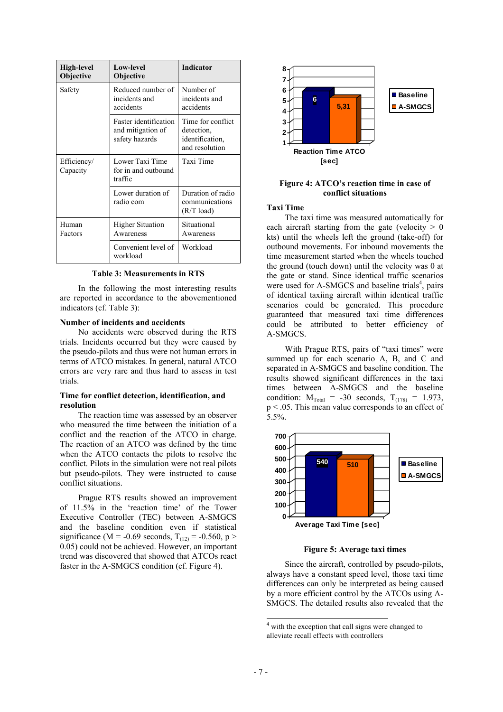| High-level<br>Objective | <b>Low-level</b><br><b>Objective</b>                         | <b>Indicator</b>                                                     |
|-------------------------|--------------------------------------------------------------|----------------------------------------------------------------------|
| Safety                  | Reduced number of<br>incidents and<br>accidents              | Number of<br>incidents and<br>accidents                              |
|                         | Faster identification<br>and mitigation of<br>safety hazards | Time for conflict<br>detection.<br>identification,<br>and resolution |
| Efficiency/<br>Capacity | Lower Taxi Time<br>for in and outbound<br>traffic            | Taxi Time                                                            |
|                         | Lower duration of<br>radio com                               | Duration of radio<br>communications<br>$(R/T \text{ load})$          |
| Human<br>Factors        | <b>Higher Situation</b><br>Awareness                         | Situational<br>Awareness                                             |
|                         | Convenient level of<br>workload                              | Workload                                                             |

**Table 3: Measurements in RTS** 

In the following the most interesting results are reported in accordance to the abovementioned indicators (cf. Table 3):

#### **Number of incidents and accidents**

No accidents were observed during the RTS trials. Incidents occurred but they were caused by the pseudo-pilots and thus were not human errors in terms of ATCO mistakes. In general, natural ATCO errors are very rare and thus hard to assess in test trials.

#### **Time for conflict detection, identification, and resolution**

The reaction time was assessed by an observer who measured the time between the initiation of a conflict and the reaction of the ATCO in charge. The reaction of an ATCO was defined by the time when the ATCO contacts the pilots to resolve the conflict. Pilots in the simulation were not real pilots but pseudo-pilots. They were instructed to cause conflict situations.

Prague RTS results showed an improvement of 11.5% in the 'reaction time' of the Tower Executive Controller (TEC) between A-SMGCS and the baseline condition even if statistical significance (M = -0.69 seconds,  $T_{(12)} = -0.560$ , p > 0.05) could not be achieved. However, an important trend was discovered that showed that ATCOs react faster in the A-SMGCS condition (cf. Figure 4).



#### **Figure 4: ATCO's reaction time in case of conflict situations**

### **Taxi Time**

The taxi time was measured automatically for each aircraft starting from the gate (velocity  $> 0$ kts) until the wheels left the ground (take-off) for outbound movements. For inbound movements the time measurement started when the wheels touched the ground (touch down) until the velocity was 0 at the gate or stand. Since identical traffic scenarios were used for A-SMGCS and baseline trials<sup>4</sup>, pairs of identical taxiing aircraft within identical traffic scenarios could be generated. This procedure guaranteed that measured taxi time differences could be attributed to better efficiency of A-SMGCS.

With Prague RTS, pairs of "taxi times" were summed up for each scenario A, B, and C and separated in A-SMGCS and baseline condition. The results showed significant differences in the taxi times between A-SMGCS and the baseline condition:  $M_{\text{Total}} = -30$  seconds,  $T_{(178)} = 1.973$ , p < .05. This mean value corresponds to an effect of 5.5%.



**Figure 5: Average taxi times** 

Since the aircraft, controlled by pseudo-pilots, always have a constant speed level, those taxi time differences can only be interpreted as being caused by a more efficient control by the ATCOs using A-SMGCS. The detailed results also revealed that the

 4 with the exception that call signs were changed to alleviate recall effects with controllers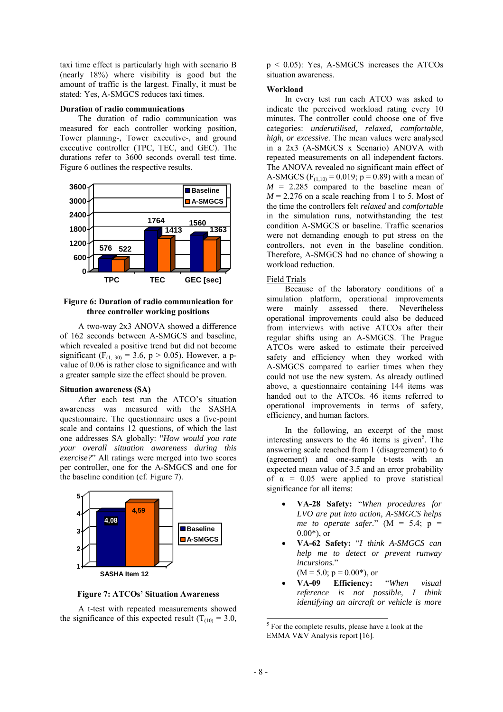taxi time effect is particularly high with scenario B (nearly 18%) where visibility is good but the amount of traffic is the largest. Finally, it must be stated: Yes, A-SMGCS reduces taxi times.

#### **Duration of radio communications**

The duration of radio communication was measured for each controller working position, Tower planning-, Tower executive-, and ground executive controller (TPC, TEC, and GEC). The durations refer to 3600 seconds overall test time. Figure 6 outlines the respective results.



#### **Figure 6: Duration of radio communication for three controller working positions**

A two-way 2x3 ANOVA showed a difference of 162 seconds between A-SMGCS and baseline, which revealed a positive trend but did not become significant (F<sub>(1, 30)</sub> = 3.6, p > 0.05). However, a pvalue of 0.06 is rather close to significance and with a greater sample size the effect should be proven.

#### **Situation awareness (SA)**

After each test run the ATCO's situation awareness was measured with the SASHA questionnaire. The questionnaire uses a five-point scale and contains 12 questions, of which the last one addresses SA globally: "*How would you rate your overall situation awareness during this exercise?*" All ratings were merged into two scores per controller, one for the A-SMGCS and one for the baseline condition (cf. Figure 7).



**Figure 7: ATCOs' Situation Awareness** 

A t-test with repeated measurements showed the significance of this expected result ( $T_{(10)} = 3.0$ , p < 0.05): Yes, A-SMGCS increases the ATCOs situation awareness.

#### **Workload**

In every test run each ATCO was asked to indicate the perceived workload rating every 10 minutes. The controller could choose one of five categories: *underutilised, relaxed, comfortable, high, or excessive*. The mean values were analysed in a 2x3 (A-SMGCS x Scenario) ANOVA with repeated measurements on all independent factors. The ANOVA revealed no significant main effect of A-SMGCS ( $F_{(1,10)} = 0.019$ ; p = 0.89) with a mean of  $M = 2.285$  compared to the baseline mean of  $M = 2.276$  on a scale reaching from 1 to 5. Most of the time the controllers felt *relaxed* and *comfortable* in the simulation runs, notwithstanding the test condition A-SMGCS or baseline. Traffic scenarios were not demanding enough to put stress on the controllers, not even in the baseline condition. Therefore, A-SMGCS had no chance of showing a workload reduction.

#### Field Trials

Because of the laboratory conditions of a simulation platform, operational improvements were mainly assessed there. Nevertheless operational improvements could also be deduced from interviews with active ATCOs after their regular shifts using an A-SMGCS. The Prague ATCOs were asked to estimate their perceived safety and efficiency when they worked with A-SMGCS compared to earlier times when they could not use the new system. As already outlined above, a questionnaire containing 144 items was handed out to the ATCOs. 46 items referred to operational improvements in terms of safety, efficiency, and human factors.

In the following, an excerpt of the most interesting answers to the  $46$  items is given<sup>5</sup>. The answering scale reached from 1 (disagreement) to 6 (agreement) and one-sample t-tests with an expected mean value of 3.5 and an error probability of  $\alpha$  = 0.05 were applied to prove statistical significance for all items:

- **VA-28 Safety:** "*When procedures for LVO are put into action, A-SMGCS helps me to operate safer.*"  $(M = 5.4; p =$  $0.00*$ ), or
- **VA-62 Safety:** "*I think A-SMGCS can help me to detect or prevent runway incursions.*"  $(M = 5.0; p = 0.00<sup>*</sup>)$ , or
- **VA-09 Efficiency:** "*When visual reference is not possible, I think identifying an aircraft or vehicle is more*

 $\overline{a}$ 

<sup>&</sup>lt;sup>5</sup> For the complete results, please have a look at the EMMA V&V Analysis report [16].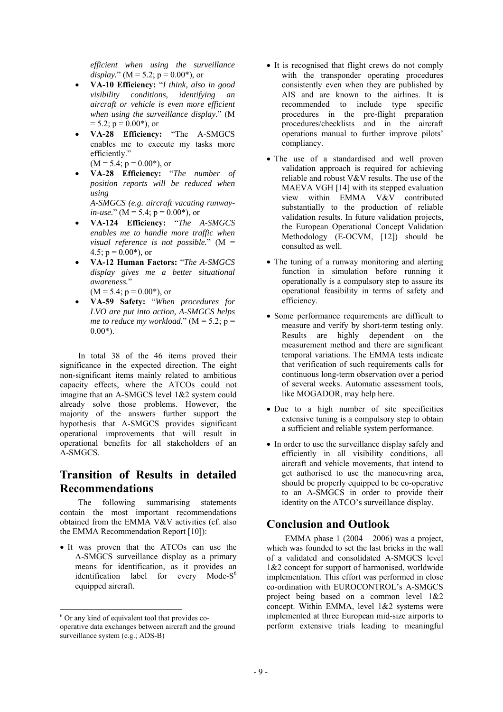*efficient when using the surveillance display.*" ( $M = 5.2$ ;  $p = 0.00$ <sup>\*</sup>), or

- **VA-10 Efficiency:** "*I think, also in good visibility conditions, identifying an aircraft or vehicle is even more efficient when using the surveillance display.*" (M  $= 5.2$ ; p  $= 0.00$ <sup>\*</sup>), or
- **VA-28 Efficiency:** "The A-SMGCS enables me to execute my tasks more efficiently."  $(M = 5.4; p = 0.00^*)$ , or
- **VA-28 Efficiency:** "*The number of position reports will be reduced when*

*using A-SMGCS (e.g. aircraft vacating runwayin-use.*" ( $M = 5.4$ ;  $p = 0.00$ <sup>\*</sup>), or

- **VA-124 Efficiency:** "*The A-SMGCS enables me to handle more traffic when visual reference is not possible.*" (M = 4.5;  $p = 0.00$ <sup>\*</sup>), or
- **VA-12 Human Factors:** "*The A-SMGCS display gives me a better situational awareness.*"
	- $(M = 5.4; p = 0.00^*)$ , or
- **VA-59 Safety:** "*When procedures for LVO are put into action, A-SMGCS helps me to reduce my workload.*"  $(M = 5.2$ ;  $p =$  $0.00*$ ).

In total 38 of the 46 items proved their significance in the expected direction. The eight non-significant items mainly related to ambitious capacity effects, where the ATCOs could not imagine that an A-SMGCS level 1&2 system could already solve those problems. However, the majority of the answers further support the hypothesis that A-SMGCS provides significant operational improvements that will result in operational benefits for all stakeholders of an A-SMGCS.

# **Transition of Results in detailed Recommendations**

The following summarising statements contain the most important recommendations obtained from the EMMA V&V activities (cf. also the EMMA Recommendation Report [10]):

• It was proven that the ATCOs can use the A-SMGCS surveillance display as a primary means for identification, as it provides an identification label for every Mode- $S^6$ equipped aircraft.

- It is recognised that flight crews do not comply with the transponder operating procedures consistently even when they are published by AIS and are known to the airlines. It is recommended to include type specific procedures in the pre-flight preparation procedures/checklists and in the aircraft operations manual to further improve pilots' compliancy.
- The use of a standardised and well proven validation approach is required for achieving reliable and robust V&V results. The use of the MAEVA VGH [14] with its stepped evaluation view within EMMA V&V contributed substantially to the production of reliable validation results. In future validation projects, the European Operational Concept Validation Methodology (E-OCVM, [12]) should be consulted as well.
- The tuning of a runway monitoring and alerting function in simulation before running it operationally is a compulsory step to assure its operational feasibility in terms of safety and efficiency.
- Some performance requirements are difficult to measure and verify by short-term testing only. Results are highly dependent on the measurement method and there are significant temporal variations. The EMMA tests indicate that verification of such requirements calls for continuous long-term observation over a period of several weeks. Automatic assessment tools, like MOGADOR, may help here.
- Due to a high number of site specificities extensive tuning is a compulsory step to obtain a sufficient and reliable system performance.
- In order to use the surveillance display safely and efficiently in all visibility conditions, all aircraft and vehicle movements, that intend to get authorised to use the manoeuvring area, should be properly equipped to be co-operative to an A-SMGCS in order to provide their identity on the ATCO's surveillance display.

# **Conclusion and Outlook**

EMMA phase  $1(2004 - 2006)$  was a project, which was founded to set the last bricks in the wall of a validated and consolidated A-SMGCS level 1&2 concept for support of harmonised, worldwide implementation. This effort was performed in close co-ordination with EUROCONTROL's A-SMGCS project being based on a common level 1&2 concept. Within EMMA, level 1&2 systems were implemented at three European mid-size airports to perform extensive trials leading to meaningful

 6 Or any kind of equivalent tool that provides cooperative data exchanges between aircraft and the ground surveillance system (e.g.; ADS-B)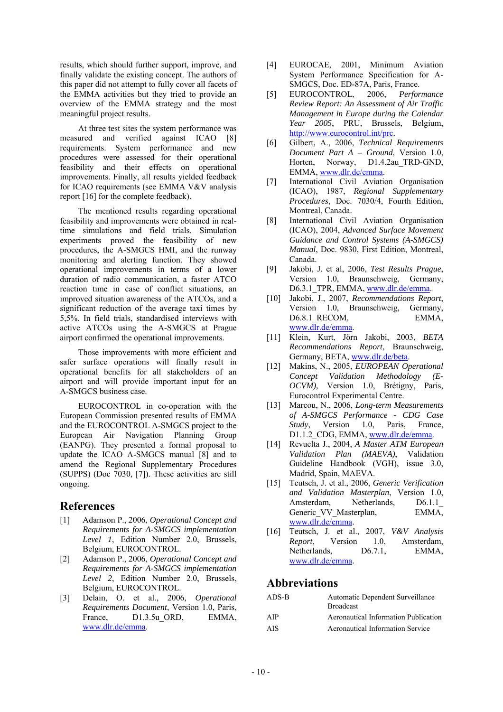results, which should further support, improve, and finally validate the existing concept. The authors of this paper did not attempt to fully cover all facets of the EMMA activities but they tried to provide an overview of the EMMA strategy and the most meaningful project results.

At three test sites the system performance was measured and verified against ICAO [8] requirements. System performance and new procedures were assessed for their operational feasibility and their effects on operational improvements. Finally, all results yielded feedback for ICAO requirements (see EMMA V&V analysis report [16] for the complete feedback).

The mentioned results regarding operational feasibility and improvements were obtained in realtime simulations and field trials. Simulation experiments proved the feasibility of new procedures, the A-SMGCS HMI, and the runway monitoring and alerting function. They showed operational improvements in terms of a lower duration of radio communication, a faster ATCO reaction time in case of conflict situations, an improved situation awareness of the ATCOs, and a significant reduction of the average taxi times by 5,5%. In field trials, standardised interviews with active ATCOs using the A-SMGCS at Prague airport confirmed the operational improvements.

Those improvements with more efficient and safer surface operations will finally result in operational benefits for all stakeholders of an airport and will provide important input for an A-SMGCS business case.

EUROCONTROL in co-operation with the European Commission presented results of EMMA and the EUROCONTROL A-SMGCS project to the European Air Navigation Planning Group (EANPG). They presented a formal proposal to update the ICAO A-SMGCS manual [8] and to amend the Regional Supplementary Procedures (SUPPS) (Doc 7030, [7]). These activities are still ongoing.

## **References**

- [1] Adamson P., 2006, *Operational Concept and Requirements for A-SMGCS implementation Level 1*, Edition Number 2.0, Brussels, Belgium, EUROCONTROL.
- [2] Adamson P., 2006, *Operational Concept and Requirements for A-SMGCS implementation Level 2*, Edition Number 2.0, Brussels, Belgium, EUROCONTROL.
- [3] Delain, O. et al., 2006, *Operational Requirements Document*, Version 1.0, Paris, France, D1.3.5u ORD, EMMA, www.dlr.de/emma.
- [4] EUROCAE, 2001, Minimum Aviation System Performance Specification for A-SMGCS, Doc. ED-87A, Paris, France.
- [5] EUROCONTROL, 2006, *Performance Review Report: An Assessment of Air Traffic Management in Europe during the Calendar Year 2005*, PRU, Brussels, Belgium, http://www.eurocontrol.int/prc.
- [6] Gilbert, A., 2006, *Technical Requirements Document Part A – Ground*, Version 1.0, Horten, Norway, D1.4.2au\_TRD-GND, EMMA, www.dlr.de/emma.
- [7] International Civil Aviation Organisation (ICAO), 1987, *Regional Supplementary Procedures*, Doc. 7030/4, Fourth Edition, Montreal, Canada.
- [8] International Civil Aviation Organisation (ICAO), 2004, *Advanced Surface Movement Guidance and Control Systems (A-SMGCS) Manual*, Doc. 9830, First Edition, Montreal, Canada.
- [9] Jakobi, J. et al, 2006, *Test Results Prague*, Version 1.0, Braunschweig, Germany, D6.3.1 TPR, EMMA, www.dlr.de/emma.
- [10] Jakobi, J., 2007, *Recommendations Report*, Version 1.0, Braunschweig, Germany, D6.8.1 RECOM, EMMA, www.dlr.de/emma.
- [11] Klein, Kurt, Jörn Jakobi, 2003, *BETA Recommendations Report*, Braunschweig, Germany, BETA, www.dlr.de/beta.
- [12] Makins, N., 2005, *EUROPEAN Operational Concept Validation Methodology (E-OCVM),* Version 1.0, Brétigny, Paris, Eurocontrol Experimental Centre.
- [13] Marcou, N., 2006, *Long-term Measurements of A-SMGCS Performance - CDG Case Study*, Version 1.0, Paris, France, D1.1.2 CDG, EMMA, www.dlr.de/emma.
- [14] Revuelta J., 2004, *A Master ATM European Validation Plan (MAEVA)*, Validation Guideline Handbook (VGH), issue 3.0, Madrid, Spain, MAEVA.
- [15] Teutsch, J. et al., 2006, *Generic Verification and Validation Masterplan*, Version 1.0, Amsterdam, Netherlands, D6.1.1 Generic VV Masterplan, EMMA, www.dlr.de/emma.
- [16] Teutsch, J. et al., 2007, *V&V Analysis Report*, Version 1.0, Amsterdam, Netherlands, D6.7.1, EMMA, www.dlr.de/emma.

## **Abbreviations**

| ADS-B | Automatic Dependent Surveillance<br><b>Broadcast</b> |
|-------|------------------------------------------------------|
| AIP   | Aeronautical Information Publication                 |
| AIS.  | <b>Aeronautical Information Service</b>              |